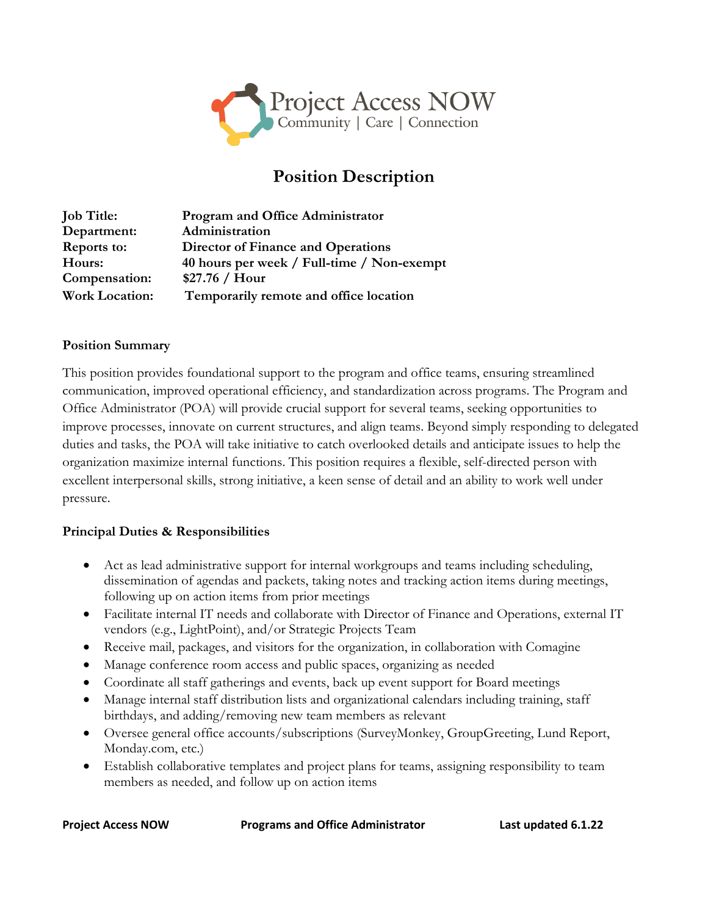

# **Position Description**

| <b>Job Title:</b>     | <b>Program and Office Administrator</b>    |
|-----------------------|--------------------------------------------|
| Department:           | Administration                             |
| Reports to:           | <b>Director of Finance and Operations</b>  |
| Hours:                | 40 hours per week / Full-time / Non-exempt |
| Compensation:         | \$27.76 / Hour                             |
| <b>Work Location:</b> | Temporarily remote and office location     |

### **Position Summary**

This position provides foundational support to the program and office teams, ensuring streamlined communication, improved operational efficiency, and standardization across programs. The Program and Office Administrator (POA) will provide crucial support for several teams, seeking opportunities to improve processes, innovate on current structures, and align teams. Beyond simply responding to delegated duties and tasks, the POA will take initiative to catch overlooked details and anticipate issues to help the organization maximize internal functions. This position requires a flexible, self-directed person with excellent interpersonal skills, strong initiative, a keen sense of detail and an ability to work well under pressure.

### **Principal Duties & Responsibilities**

- Act as lead administrative support for internal workgroups and teams including scheduling, dissemination of agendas and packets, taking notes and tracking action items during meetings, following up on action items from prior meetings
- Facilitate internal IT needs and collaborate with Director of Finance and Operations, external IT vendors (e.g., LightPoint), and/or Strategic Projects Team
- Receive mail, packages, and visitors for the organization, in collaboration with Comagine
- Manage conference room access and public spaces, organizing as needed
- Coordinate all staff gatherings and events, back up event support for Board meetings
- Manage internal staff distribution lists and organizational calendars including training, staff birthdays, and adding/removing new team members as relevant
- Oversee general office accounts/subscriptions (SurveyMonkey, GroupGreeting, Lund Report, Monday.com, etc.)
- Establish collaborative templates and project plans for teams, assigning responsibility to team members as needed, and follow up on action items

**Project Access NOW Programs and Office Administrator Last updated 6.1.22**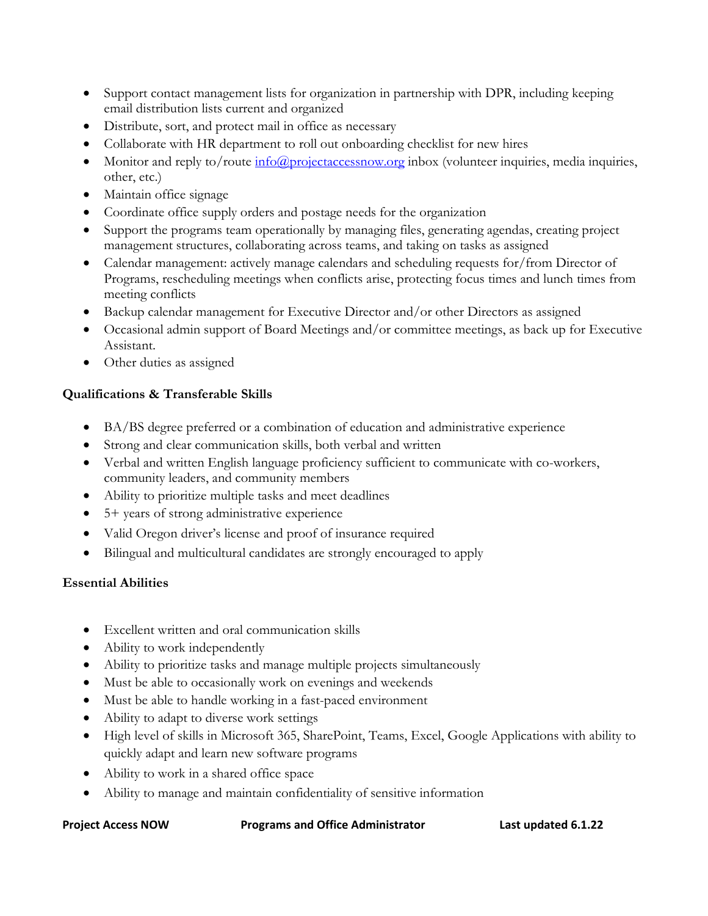- Support contact management lists for organization in partnership with DPR, including keeping email distribution lists current and organized
- Distribute, sort, and protect mail in office as necessary
- Collaborate with HR department to roll out onboarding checklist for new hires
- Monitor and reply to/route [info@projectaccessnow.org](mailto:info@projectaccessnow.org) inbox (volunteer inquiries, media inquiries, other, etc.)
- Maintain office signage
- Coordinate office supply orders and postage needs for the organization
- Support the programs team operationally by managing files, generating agendas, creating project management structures, collaborating across teams, and taking on tasks as assigned
- Calendar management: actively manage calendars and scheduling requests for/from Director of Programs, rescheduling meetings when conflicts arise, protecting focus times and lunch times from meeting conflicts
- Backup calendar management for Executive Director and/or other Directors as assigned
- Occasional admin support of Board Meetings and/or committee meetings, as back up for Executive Assistant.
- Other duties as assigned

# **Qualifications & Transferable Skills**

- BA/BS degree preferred or a combination of education and administrative experience
- Strong and clear communication skills, both verbal and written
- Verbal and written English language proficiency sufficient to communicate with co-workers, community leaders, and community members
- Ability to prioritize multiple tasks and meet deadlines
- 5+ years of strong administrative experience
- Valid Oregon driver's license and proof of insurance required
- Bilingual and multicultural candidates are strongly encouraged to apply

# **Essential Abilities**

- Excellent written and oral communication skills
- Ability to work independently
- Ability to prioritize tasks and manage multiple projects simultaneously
- Must be able to occasionally work on evenings and weekends
- Must be able to handle working in a fast-paced environment
- Ability to adapt to diverse work settings
- High level of skills in Microsoft 365, SharePoint, Teams, Excel, Google Applications with ability to quickly adapt and learn new software programs
- Ability to work in a shared office space
- Ability to manage and maintain confidentiality of sensitive information

**Project Access NOW Programs and Office Administrator Last updated 6.1.22**